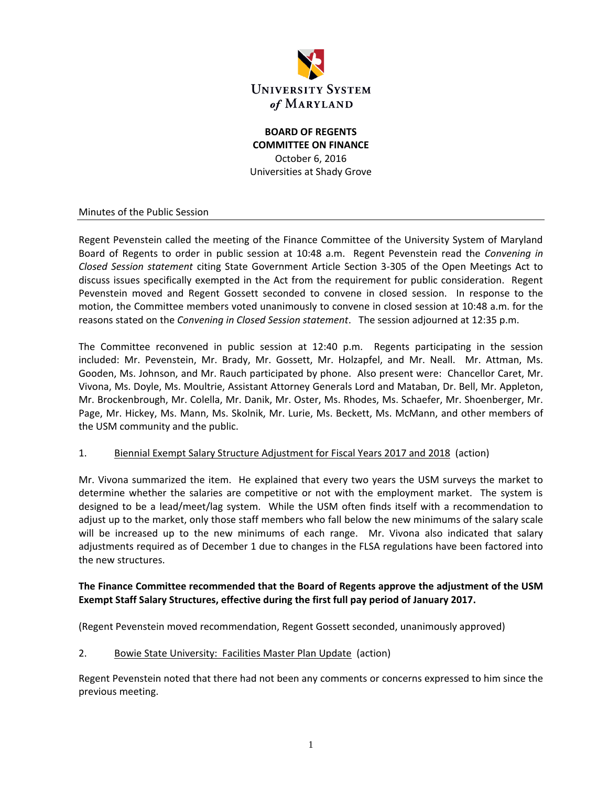

**BOARD OF REGENTS COMMITTEE ON FINANCE** October 6, 2016 Universities at Shady Grove

Minutes of the Public Session

Regent Pevenstein called the meeting of the Finance Committee of the University System of Maryland Board of Regents to order in public session at 10:48 a.m. Regent Pevenstein read the *Convening in Closed Session statement* citing State Government Article Section 3-305 of the Open Meetings Act to discuss issues specifically exempted in the Act from the requirement for public consideration. Regent Pevenstein moved and Regent Gossett seconded to convene in closed session. In response to the motion, the Committee members voted unanimously to convene in closed session at 10:48 a.m. for the reasons stated on the *Convening in Closed Session statement*. The session adjourned at 12:35 p.m.

The Committee reconvened in public session at 12:40 p.m. Regents participating in the session included: Mr. Pevenstein, Mr. Brady, Mr. Gossett, Mr. Holzapfel, and Mr. Neall. Mr. Attman, Ms. Gooden, Ms. Johnson, and Mr. Rauch participated by phone. Also present were: Chancellor Caret, Mr. Vivona, Ms. Doyle, Ms. Moultrie, Assistant Attorney Generals Lord and Mataban, Dr. Bell, Mr. Appleton, Mr. Brockenbrough, Mr. Colella, Mr. Danik, Mr. Oster, Ms. Rhodes, Ms. Schaefer, Mr. Shoenberger, Mr. Page, Mr. Hickey, Ms. Mann, Ms. Skolnik, Mr. Lurie, Ms. Beckett, Ms. McMann, and other members of the USM community and the public.

#### 1. Biennial Exempt Salary Structure Adjustment for Fiscal Years 2017 and 2018 (action)

Mr. Vivona summarized the item. He explained that every two years the USM surveys the market to determine whether the salaries are competitive or not with the employment market. The system is designed to be a lead/meet/lag system. While the USM often finds itself with a recommendation to adjust up to the market, only those staff members who fall below the new minimums of the salary scale will be increased up to the new minimums of each range. Mr. Vivona also indicated that salary adjustments required as of December 1 due to changes in the FLSA regulations have been factored into the new structures.

### **The Finance Committee recommended that the Board of Regents approve the adjustment of the USM Exempt Staff Salary Structures, effective during the first full pay period of January 2017.**

(Regent Pevenstein moved recommendation, Regent Gossett seconded, unanimously approved)

2. Bowie State University: Facilities Master Plan Update (action)

Regent Pevenstein noted that there had not been any comments or concerns expressed to him since the previous meeting.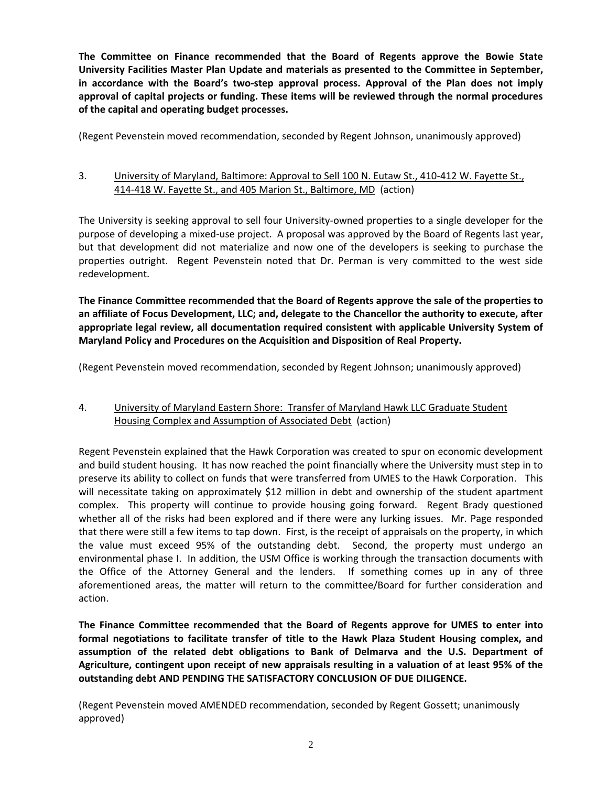**The Committee on Finance recommended that the Board of Regents approve the Bowie State University Facilities Master Plan Update and materials as presented to the Committee in September, in accordance with the Board's two‐step approval process. Approval of the Plan does not imply approval of capital projects or funding. These items will be reviewed through the normal procedures of the capital and operating budget processes.**

(Regent Pevenstein moved recommendation, seconded by Regent Johnson, unanimously approved)

# 3. University of Maryland, Baltimore: Approval to Sell 100 N. Eutaw St., 410-412 W. Fayette St., 414-418 W. Fayette St., and 405 Marion St., Baltimore, MD (action)

The University is seeking approval to sell four University-owned properties to a single developer for the purpose of developing a mixed-use project. A proposal was approved by the Board of Regents last year, but that development did not materialize and now one of the developers is seeking to purchase the properties outright. Regent Pevenstein noted that Dr. Perman is very committed to the west side redevelopment.

**The Finance Committee recommended that the Board of Regents approve the sale of the properties to an affiliate of Focus Development, LLC; and, delegate to the Chancellor the authority to execute, after appropriate legal review, all documentation required consistent with applicable University System of Maryland Policy and Procedures on the Acquisition and Disposition of Real Property.** 

(Regent Pevenstein moved recommendation, seconded by Regent Johnson; unanimously approved)

# 4. University of Maryland Eastern Shore: Transfer of Maryland Hawk LLC Graduate Student Housing Complex and Assumption of Associated Debt (action)

Regent Pevenstein explained that the Hawk Corporation was created to spur on economic development and build student housing. It has now reached the point financially where the University must step in to preserve its ability to collect on funds that were transferred from UMES to the Hawk Corporation. This will necessitate taking on approximately \$12 million in debt and ownership of the student apartment complex. This property will continue to provide housing going forward. Regent Brady questioned whether all of the risks had been explored and if there were any lurking issues. Mr. Page responded that there were still a few items to tap down. First, is the receipt of appraisals on the property, in which the value must exceed 95% of the outstanding debt. Second, the property must undergo an environmental phase I. In addition, the USM Office is working through the transaction documents with the Office of the Attorney General and the lenders. If something comes up in any of three aforementioned areas, the matter will return to the committee/Board for further consideration and action.

**The Finance Committee recommended that the Board of Regents approve for UMES to enter into formal negotiations to facilitate transfer of title to the Hawk Plaza Student Housing complex, and assumption of the related debt obligations to Bank of Delmarva and the U.S. Department of Agriculture, contingent upon receipt of new appraisals resulting in a valuation of at least 95% of the outstanding debt AND PENDING THE SATISFACTORY CONCLUSION OF DUE DILIGENCE.**

(Regent Pevenstein moved AMENDED recommendation, seconded by Regent Gossett; unanimously approved)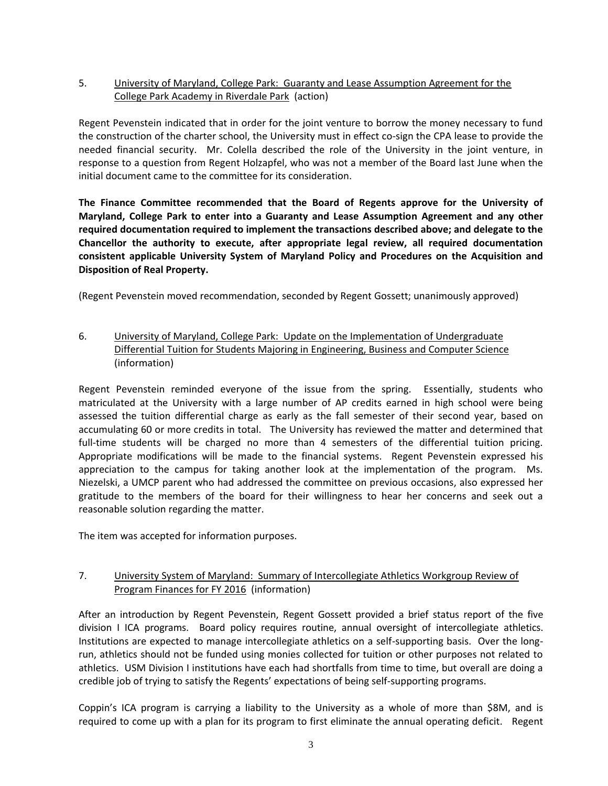# 5. University of Maryland, College Park: Guaranty and Lease Assumption Agreement for the College Park Academy in Riverdale Park (action)

Regent Pevenstein indicated that in order for the joint venture to borrow the money necessary to fund the construction of the charter school, the University must in effect co-sign the CPA lease to provide the needed financial security. Mr. Colella described the role of the University in the joint venture, in response to a question from Regent Holzapfel, who was not a member of the Board last June when the initial document came to the committee for its consideration.

**The Finance Committee recommended that the Board of Regents approve for the University of Maryland, College Park to enter into a Guaranty and Lease Assumption Agreement and any other required documentation required to implement the transactions described above; and delegate to the Chancellor the authority to execute, after appropriate legal review, all required documentation consistent applicable University System of Maryland Policy and Procedures on the Acquisition and Disposition of Real Property.** 

(Regent Pevenstein moved recommendation, seconded by Regent Gossett; unanimously approved)

# 6. University of Maryland, College Park: Update on the Implementation of Undergraduate Differential Tuition for Students Majoring in Engineering, Business and Computer Science (information)

Regent Pevenstein reminded everyone of the issue from the spring. Essentially, students who matriculated at the University with a large number of AP credits earned in high school were being assessed the tuition differential charge as early as the fall semester of their second year, based on accumulating 60 or more credits in total. The University has reviewed the matter and determined that full-time students will be charged no more than 4 semesters of the differential tuition pricing. Appropriate modifications will be made to the financial systems. Regent Pevenstein expressed his appreciation to the campus for taking another look at the implementation of the program. Ms. Niezelski, a UMCP parent who had addressed the committee on previous occasions, also expressed her gratitude to the members of the board for their willingness to hear her concerns and seek out a reasonable solution regarding the matter.

The item was accepted for information purposes.

# 7. University System of Maryland: Summary of Intercollegiate Athletics Workgroup Review of Program Finances for FY 2016 (information)

After an introduction by Regent Pevenstein, Regent Gossett provided a brief status report of the five division I ICA programs. Board policy requires routine, annual oversight of intercollegiate athletics. Institutions are expected to manage intercollegiate athletics on a self-supporting basis. Over the longrun, athletics should not be funded using monies collected for tuition or other purposes not related to athletics. USM Division I institutions have each had shortfalls from time to time, but overall are doing a credible job of trying to satisfy the Regents' expectations of being self-supporting programs.

Coppin's ICA program is carrying a liability to the University as a whole of more than \$8M, and is required to come up with a plan for its program to first eliminate the annual operating deficit. Regent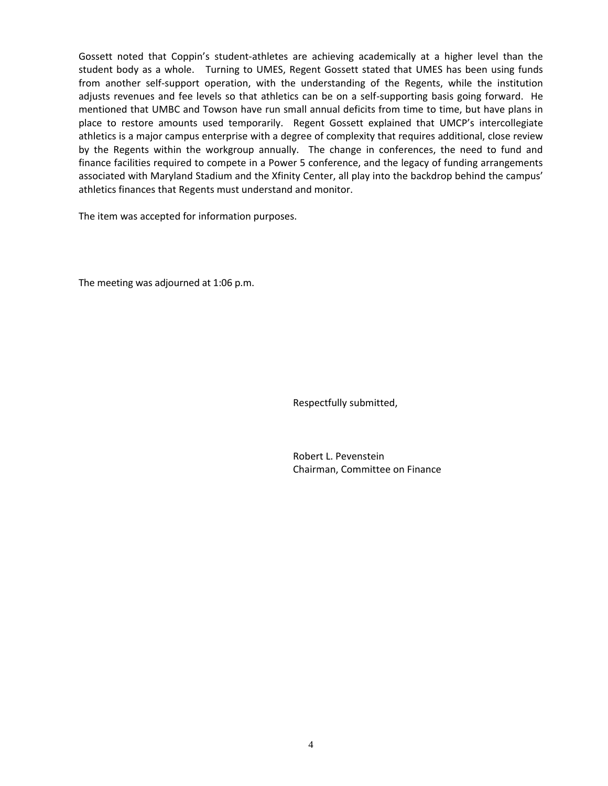Gossett noted that Coppin's student-athletes are achieving academically at a higher level than the student body as a whole. Turning to UMES, Regent Gossett stated that UMES has been using funds from another self-support operation, with the understanding of the Regents, while the institution adjusts revenues and fee levels so that athletics can be on a self-supporting basis going forward. He mentioned that UMBC and Towson have run small annual deficits from time to time, but have plans in place to restore amounts used temporarily. Regent Gossett explained that UMCP's intercollegiate athletics is a major campus enterprise with a degree of complexity that requires additional, close review by the Regents within the workgroup annually. The change in conferences, the need to fund and finance facilities required to compete in a Power 5 conference, and the legacy of funding arrangements associated with Maryland Stadium and the Xfinity Center, all play into the backdrop behind the campus' athletics finances that Regents must understand and monitor.

The item was accepted for information purposes.

The meeting was adjourned at 1:06 p.m.

Respectfully submitted,

Robert L. Pevenstein Chairman, Committee on Finance